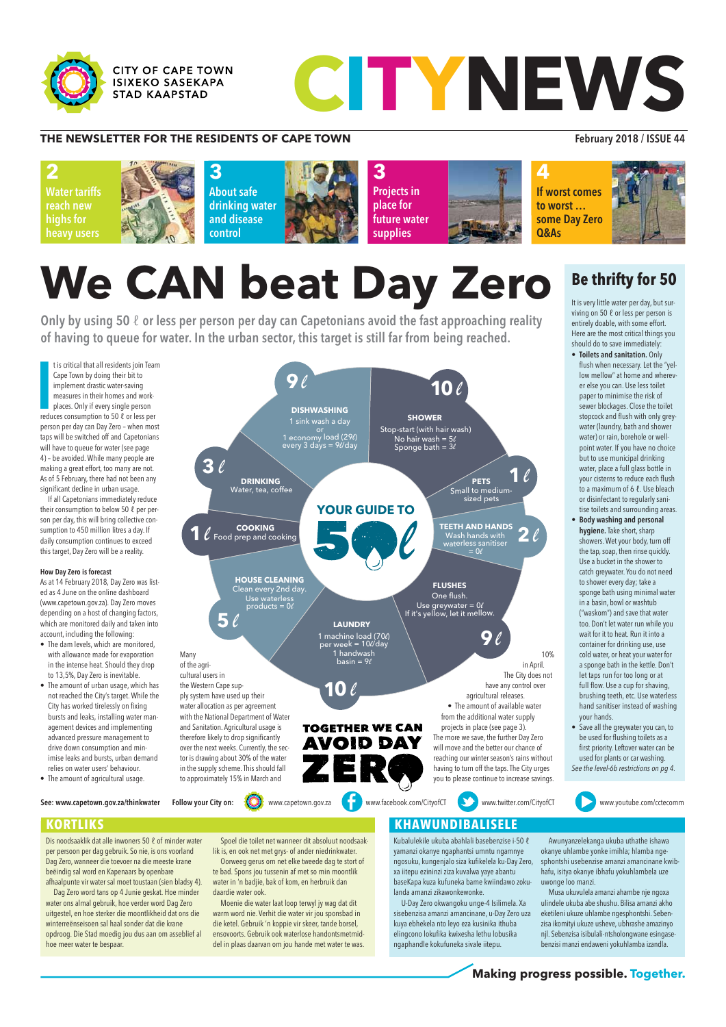

**CITY OF CAPE TOWN ISIXEKO SASEKAPA STAD KAAPSTAD** 

# CITYNEWS

### **THE NEWSLETTER FOR THE RESIDENTS OF CAPE TOWN February 2018 / ISSUE 44**

Dis noodsaaklik dat alle inwoners 50 ℓ of minder water per persoon per dag gebruik. So nie, is ons voorland Dag Zero, wanneer die toevoer na die meeste krane beëindig sal word en Kapenaars by openbare afhaalpunte vir water sal moet toustaan (sien bladsy 4).

Dag Zero word tans op 4 Junie geskat. Hoe minder water ons almal gebruik, hoe verder word Dag Zero uitgestel, en hoe sterker die moontlikheid dat ons die winterreënseisoen sal haal sonder dat die krane opdroog. Die Stad moedig jou dus aan om asseblief al hoe meer water te bespaar.

Spoel die toilet net wanneer dit absoluut noodsaaklik is, en ook net met grys- of ander niedrinkwater. Oorweeg gerus om net elke tweede dag te stort of te bad. Spons jou tussenin af met so min moontlik water in 'n badjie, bak of kom, en herbruik dan daardie water ook.

Moenie die water laat loop terwyl jy wag dat dit warm word nie. Verhit die water vir jou sponsbad in die ketel. Gebruik 'n koppie vir skeer, tande borsel, ensovoorts. Gebruik ook waterlose handontsmetmiddel in plaas daarvan om jou hande met water te was.

### **KORTLIKS KORTLIKS KORTLIKS**

**EXAMPLE TOWN**<br> **CONSULTS: CONSULTS: CONSULTS: CONSULTS: CONSULTS: CONSULTS: CONSULTS: CONSULTS: CONSULTS: CONSULTS: CONSULTS: CONSULTS: CONSULTS: CONSULTS: CONSULTS: CONSULTS: CONSULTS: C 3** Projects in place for future water supplies **2**Water tariffs reach new highs for heavy users **4**If worst comes to worst … some Day Zero Q&As **3** About safe drinking water and disease control

Kubalulekile ukuba abahlali basebenzise i-50 ℓ yamanzi okanye ngaphantsi umntu ngamnye ngosuku, kungenjalo siza kufikelela ku-Day Zero, xa iitepu ezininzi ziza kuvalwa yaye abantu baseKapa kuza kufuneka bame kwiindawo zokulanda amanzi zikawonkewonke.

Only by using 50  $\ell$  or less per person per day can Capetonians avoid the fast approaching reality<br>of having to queue for water. In the urban sector, this target is still far from being reached. Only by using 50  $\ell$  or less per person per day can Capetonians avoid the fast approaching reality of having to queue for water. In the urban sector, this target is still far from being reached.

> U-Day Zero okwangoku unge-4 Isilimela. Xa sisebenzisa amanzi amancinane, u-Day Zero uza kuya ebhekela nto leyo eza kusinika ithuba elingcono lokufika kwixesha lethu lobusika ngaphandle kokufuneka sivale iitepu.

t is critical that all residents join Teau<br>Cape Town by doing their bit to<br>implement drastic water-saving<br>measures in their homes and work-<br>places. Only if every single person<br>reduces consumption to 50 ℓ or less per t is critical that all residents join Team Cape Town by doing their bit to implement drastic water-saving measures in their homes and workplaces. Only if every single person person per day can Day Zero – when most taps will be switched off and Capetonians will have to queue for water (see page 4) – be avoided. While many people are making a great effort, too many are not. As of 5 February, there had not been any significant decline in urban usage.

> Awunyanzelekanga ukuba uthathe ishawa okanye uhlambe yonke imihla; hlamba ngesphontshi usebenzise amanzi amancinane kwibhafu, isitya okanye ibhafu yokuhlambela uze uwonge loo manzi.

Musa ukuvulela amanzi ahambe nje ngoxa ulindele ukuba abe shushu. Bilisa amanzi akho eketileni ukuze uhlambe ngesphontshi. Sebenzisa ikomityi ukuze usheve, ubhrashe amazinyo njl. Sebenzisa isibulali-ntsholongwane esingasebenzisi manzi endaweni yokuhlamba izandla.



**Making progress possible. Together.** 

It is very little water per day, but surviving on 50 ℓ or less per person is entirely doable, with some effort. Here are the most critical things you should do to save immediately:

If all Capetonians immediately reduce their consumption to below 50 ℓ per person per day, this will bring collective consumption to 450 million litres a day. If daily consumption continues to exceed this target, Day Zero will be a reality.

### How Day Zero is forecast

As at 14 February 2018, Day Zero was listed as 4 June on the online dashboard (www.capetown.gov.za). Day Zero moves depending on a host of changing factors, which are monitored daily and taken into account, including the following:

- The dam levels, which are monitored, with allowance made for evaporation in the intense heat. Should they drop to 13,5%, Day Zero is inevitable.
- The amount of urban usage, which has not reached the City's target. While the City has worked tirelessly on fixing bursts and leaks, installing water management devices and implementing advanced pressure management to drive down consumption and minimise leaks and bursts, urban demand relies on water users' behaviour.

• The amount of agricultural usage.

to approximately 15% in March and



### **Be thrifty for 50**

- Toilets and sanitation. Only flush when necessary. Let the "yellow mellow" at home and wherever else you can. Use less toilet paper to minimise the risk of sewer blockages. Close the toilet stopcock and flush with only greywater (laundry, bath and shower water) or rain, borehole or wellpoint water. If you have no choice but to use municipal drinking water, place a full glass bottle in your cisterns to reduce each flush to a maximum of 6 ℓ. Use bleach or disinfectant to regularly sanitise toilets and surrounding areas.
- Body washing and personal hygiene. Take short, sharp showers. Wet your body, turn off the tap, soap, then rinse quickly. Use a bucket in the shower to catch greywater. You do not need to shower every day; take a sponge bath using minimal water in a basin, bowl or washtub ("waskom") and save that water too. Don't let water run while you wait for it to heat. Run it into a container for drinking use, use cold water, or heat your water for a sponge bath in the kettle. Don't let taps run for too long or at full flow. Use a cup for shaving, brushing teeth, etc. Use waterless hand sanitiser instead of washing your hands.
- Save all the greywater you can, to be used for flushing toilets as a first priority. Leftover water can be used for plants or car washing. See the level-6b restrictions on pg 4.

See: www.capetown.gov.za/thinkwater

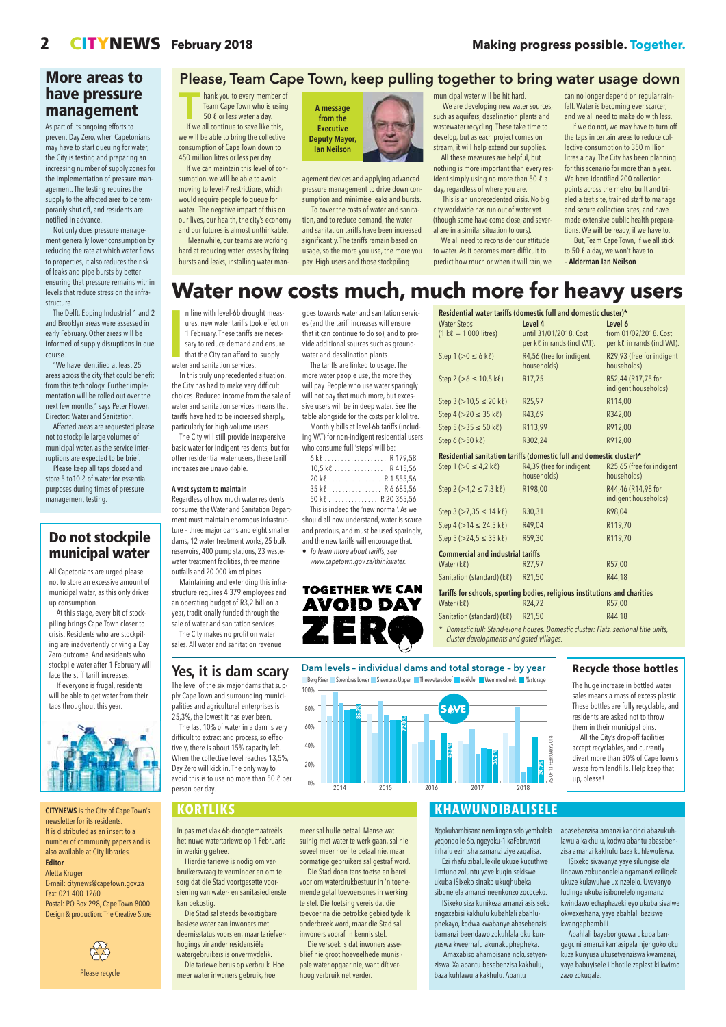CITYNEWS is the City of Cape Town's newsletter for its residents. It is distributed as an insert to a number of community papers and is also available at City libraries. Editor

Aletta Kruger E-mail: citynews@capetown.gov.za Fax: 021 400 1260 Postal: PO Box 298, Cape Town 8000 Design & production: The Creative Store



In pas met vlak 6b-droogtemaatreëls het nuwe watertariewe op 1 Februarie in werking getree.

Hierdie tariewe is nodig om verbruikersvraag te verminder en om te sorg dat die Stad voortgesette voorsiening van water- en sanitasiedienste kan bekostig.

Die Stad sal steeds bekostigbare basiese water aan inwoners met deernisstatus voorsien, maar tariefverhogings vir ander residensiële watergebruikers is onvermydelik. Die tariewe berus op verbruik. Hoe meer water inwoners gebruik, hoe

meer sal hulle betaal. Mense wat suinig met water te werk gaan, sal nie soveel meer hoef te betaal nie, maar oormatige gebruikers sal gestraf word. Die Stad doen tans toetse en berei voor om waterdrukbestuur in 'n toenemende getal toevoersones in werking te stel. Die toetsing vereis dat die toevoer na die betrokke gebied tydelik onderbreek word, maar die Stad sal inwoners vooraf in kennis stel.

### Dam levels – individual dams and total storage – by year Berg River Steenbras Lower Steenbras Upper Theewaterskloof Voëlvlei Wemmershoek 19% storage

100% **SAVE** 80% **85,3% 72,0%** 60% AS OF 13 FEBRUARY 2018 40% **43,0%** 13 FEBRUARY **36,2 % 24,7%** 20% <u>୍</u> ଟ

Die versoek is dat inwoners asseblief nie groot hoeveelhede munisipale water opgaar nie, want dít verhoog verbruik net verder.

### **KORTLIKS**

**THEODOCY TECHNICOL**<br>Thank you to every member of<br>Team Cape Town who is using<br>50  $\ell$  or less water a day. Team Cape Town who is using 50 ℓ or less water a day.

> Ngokuhambisana nemilinganiselo yembalela yeqondo le-6b, ngeyoku-1 kaFebruwari iirhafu ezintsha zamanzi ziye zaqalisa. Ezi rhafu zibalulekile ukuze kucuthwe iimfuno zoluntu yaye kuqinisekiswe ukuba iSixeko sinako ukuqhubeka sibonelela amanzi neenkonzo zococeko. ISixeko siza kunikeza amanzi asisiseko angaxabisi kakhulu kubahlali abahluphekayo, kodwa kwabanye abasebenzisi bamanzi beendawo zokuhlala oku kunyuswa kweerhafu akunakuphepheka.

Amaxabiso ahambisana nokusetyenziswa. Xa abantu besebenzisa kakhulu, baza kuhlawula kakhulu. Abantu

We are developing new water sources, such as aquifers, desalination plants and wastewater recycling. These take time to develop, but as each project comes on stream, it will help extend our supplies. All these measures are helpful, but nothing is more important than every resident simply using no more than 50 ℓ a day, regardless of where you are.

> abasebenzisa amanzi kancinci abazukuhlawula kakhulu, kodwa abantu abasebenzisa amanzi kakhulu baza kuhlawuliswa. ISixeko sivavanya yaye silungiselela iindawo zokubonelela ngamanzi eziliqela ukuze kulawulwe uxinzelelo. Uvavanyo ludinga ukuba isibonelelo ngamanzi kwindawo echaphazekileyo ukuba sivalwe okwexeshana, yaye abahlali baziswe kwangaphambili.

Abahlali bayabongozwa ukuba bangagcini amanzi kamasipala njengoko oku kuza kunyusa ukusetyenziswa kwamanzi, yaye babuyisele iibhotile zeplastiki kwimo zazo zokuqala.

### **KHAWUNDIBALISELE**

Please recycle

Water Steps  $(1 k\ell = 1000$  litres) Level 4 until 31/01/2018. Cost per kℓ in rands (incl VAT). Level 6 from 01/02/2018. Cost per kℓ in rands (incl VAT). Step  $1 (> 0 \le 6 k\ell)$  R4,56 (free for indigent households) R29,93 (free for indigent households) Step  $2 (>6 \le 10.5 \text{ k\ell})$  R17,75 R52,44 (R17,75 for indigent households)  $Step 3 (>10.5 \le 20 k\ell)$  R25,97 R114,00  $Step 4 (>20 \le 35 k\ell)$  R43,69 R342,00  $Step 5 (>35 \le 50 k\ell)$  R113,99 R912,00 Step 6 (>50 kℓ) R302,24 R912,00 Residential sanitation tariffs (domestic full and domestic cluster)\* Step  $1 (> 0 \le 4, 2 k\ell)$  R4,39 (free for indigent households) R25,65 (free for indigent households) Step  $2 (>4, 2 \le 7, 3 k\ell)$  R198,00 R44,46 (R14,98 for indigent households)  $Step 3 (>7,35 \le 14 k\ell)$  R30,31 R98,04  $Step 4 (>14 \le 24.5 k\ell)$  R49,04 R119,70 Step  $5 (>24, 5 \leq 35 k\ell)$  R59,30 R119,70 Commercial and industrial tariffs Water (kℓ) R27,97 R57,00 Sanitation (standard)  $(k\ell)$  R21,50 R44,18 Tariffs for schools, sporting bodies, religious institutions and charities Water (kℓ) R24,72 R57,00



If we all continue to save like this, we will be able to bring the collective consumption of Cape Town down to 450 million litres or less per day.

If we can maintain this level of consumption, we will be able to avoid moving to level-7 restrictions, which would require people to queue for water. The negative impact of this on our lives, our health, the city's economy and our futures is almost unthinkable.

- Sanitation (standard) (kℓ) R21,50 R44,18 \* Domestic full: Stand-alone houses. Domestic cluster: Flats, sectional title units, cluster developments and gated villages.
- 

n line with level-6b drou<br>ures, new water tariffs to<br>1 February. These tariffs is<br>sary to reduce demand a<br>that the City can afford to<br>water and sanitation services. n line with level-6b drought measures, new water tariffs took effect on 1 February. These tariffs are necessary to reduce demand and ensure that the City can afford to supply

Meanwhile, our teams are working hard at reducing water losses by fixing bursts and leaks, installing water management devices and applying advanced pressure management to drive down consumption and minimise leaks and bursts.

To cover the costs of water and sanitation, and to reduce demand, the water and sanitation tariffs have been increased significantly. The tariffs remain based on usage, so the more you use, the more you pay. High users and those stockpiling

municipal water will be hit hard.

This is an unprecedented crisis. No big city worldwide has run out of water yet (though some have come close, and several are in a similar situation to ours).

We all need to reconsider our attitude to water. As it becomes more difficult to predict how much or when it will rain, we can no longer depend on regular rainfall. Water is becoming ever scarcer, and we all need to make do with less.

If we do not, we may have to turn off the taps in certain areas to reduce collective consumption to 350 million litres a day. The City has been planning for this scenario for more than a year. We have identified 200 collection points across the metro, built and trialed a test site, trained staff to manage and secure collection sites, and have made extensive public health preparations. We will be ready, if we have to.

But, Team Cape Town, if we all stick to 50  $\ell$  a day, we won't have to. – Alderman Ian Neilson

# n line with level-6b drought meas-<br> **Water of the Structure of the Constantine of the Structure of the Residential water tariffs (domestic full and domestic cluster)\***

### Please, Team Cape Town, keep pulling together to bring water usage down



At this stage, every bit of stockpiling brings Cape Town closer to crisis. Residents who are stockpiling are inadvertently driving a Day Zero outcome. And residents who stockpile water after 1 February will face the stiff tariff increases.

In this truly unprecedented situation, the City has had to make very difficult choices. Reduced income from the sale of water and sanitation services means that tariffs have had to be increased sharply, particularly for high-volume users.

The City will still provide inexpensive basic water for indigent residents, but for other residential water users, these tariff increases are unavoidable.

### A vast system to maintain

Regardless of how much water residents consume, the Water and Sanitation Department must maintain enormous infrastructure – three major dams and eight smaller dams, 12 water treatment works, 25 bulk reservoirs, 400 pump stations, 23 wastewater treatment facilities, three marine outfalls and 20 000 km of pipes.

Maintaining and extending this infrastructure requires 4 379 employees and an operating budget of R3,2 billion a year, traditionally funded through the sale of water and sanitation services.

The City makes no profit on water sales. All water and sanitation revenue

goes towards water and sanitation services (and the tariff increases will ensure that it can continue to do so), and to provide additional sources such as groundwater and desalination plants.

The tariffs are linked to usage. The more water people use, the more they will pay. People who use water sparingly will not pay that much more, but excessive users will be in deep water. See the table alongside for the costs per kilolitre.

Monthly bills at level-6b tariffs (including VAT) for non-indigent residential users who consume full 'steps' will be:

|                                            | $10,5$ kl R 415,56   |  |  |  |  |
|--------------------------------------------|----------------------|--|--|--|--|
|                                            | 20 kl R 1 555,56     |  |  |  |  |
|                                            | $35 k$ l  R 6 685,56 |  |  |  |  |
|                                            | 50 kl R 20 365,56    |  |  |  |  |
| This is indeed the 'new normal'. As we     |                      |  |  |  |  |
| should all now understand, water is scarce |                      |  |  |  |  |
| and precious, and must be used sparingly,  |                      |  |  |  |  |

and precious, and must be used sparingly, and the new tariffs will encourage that. • To learn more about tariffs, see

www.capetown.gov.za/thinkwater.



### More areas to have pressure management

As part of its ongoing efforts to prevent Day Zero, when Capetonians may have to start queuing for water, the City is testing and preparing an increasing number of supply zones for the implementation of pressure management. The testing requires the supply to the affected area to be temporarily shut off, and residents are notified in advance.

Not only does pressure management generally lower consumption by reducing the rate at which water flows to properties, it also reduces the risk of leaks and pipe bursts by better ensuring that pressure remains within levels that reduce stress on the infrastructure.

The Delft, Epping Industrial 1 and 2 and Brooklyn areas were assessed in early February. Other areas will be informed of supply disruptions in due course.

"We have identified at least 25 areas across the city that could benefit from this technology. Further implementation will be rolled out over the next few months," says Peter Flower, Director: Water and Sanitation.

Affected areas are requested please not to stockpile large volumes of municipal water, as the service interruptions are expected to be brief.

Please keep all taps closed and store 5 to10 ℓ of water for essential purposes during times of pressure management testing.

### Recycle those bottles

The huge increase in bottled water sales means a mass of excess plastic. These bottles are fully recyclable, and residents are asked not to throw them in their municipal bins.

All the City's drop-off facilities accept recyclables, and currently divert more than 50% of Cape Town's waste from landfills. Help keep that



up, please!

### **Yes, it is dam scary**

The level of the six major dams that supply Cape Town and surrounding municipalities and agricultural enterprises is 25,3%, the lowest it has ever been.

The last 10% of water in a dam is very difficult to extract and process, so effectively, there is about 15% capacity left. When the collective level reaches 13,5%, Day Zero will kick in. The only way to

avoid this is to use no more than 50 ℓ per person per day.

### Do not stockpile municipal water

All Capetonians are urged please not to store an excessive amount of municipal water, as this only drives up consumption.

If everyone is frugal, residents will be able to get water from their taps throughout this year.

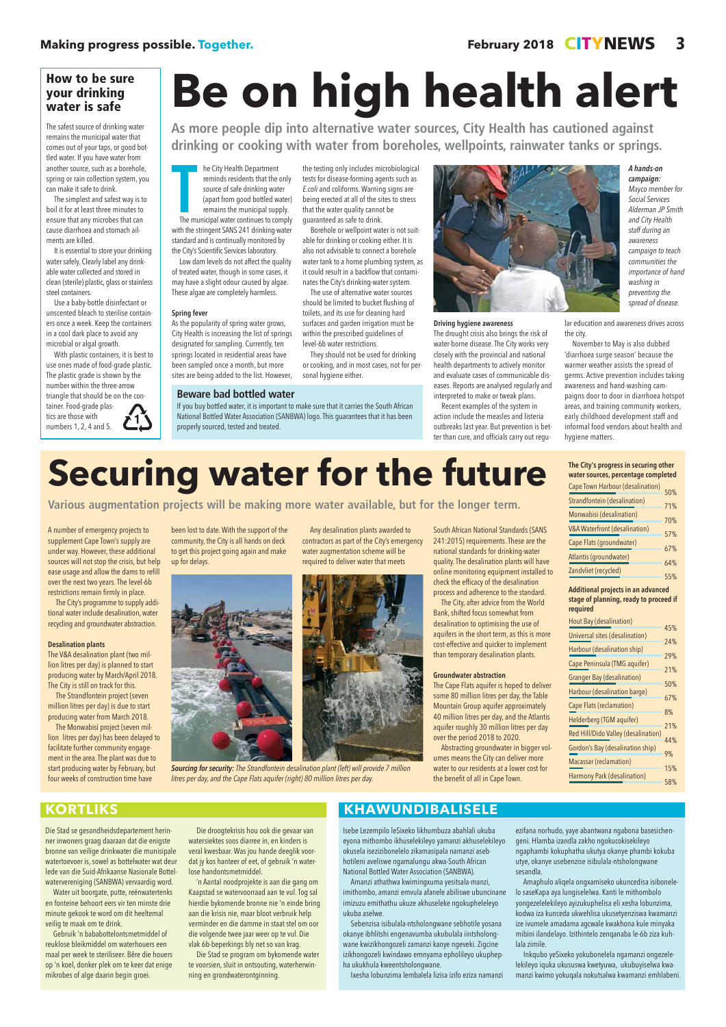Die Stad se gesondheidsdepartement herinner inwoners graag daaraan dat die enigste bronne van veilige drinkwater die munisipale watertoevoer is, sowel as bottelwater wat deur lede van die Suid-Afrikaanse Nasionale Bottelwatervereniging (SANBWA) vervaardig word.

Water uit boorgate, putte, reënwatertenks en fonteine behoort eers vir ten minste drie minute gekook te word om dit heeltemal veilig te maak om te drink.

Gebruik 'n bababottelontsmetmiddel of reuklose bleikmiddel om waterhouers een maal per week te steriliseer. Bêre die houers op 'n koel, donker plek om te keer dat enige mikrobes of alge daarin begin groei.

Die droogtekrisis hou ook die gevaar van watersiektes soos diarree in, en kinders is veral kwesbaar. Was jou hande deeglik voordat jy kos hanteer of eet, of gebruik 'n waterlose handontsmetmiddel.

'n Aantal noodprojekte is aan die gang om Kaapstad se watervoorraad aan te vul. Tog sal hierdie bykomende bronne nie 'n einde bring aan die krisis nie, maar bloot verbruik help verminder en die damme in staat stel om oor die volgende twee jaar weer op te vul. Die vlak 6b-beperkings bly net so van krag.

Die Stad se program om bykomende water te voorsien, sluit in ontsouting, waterherwinning en grondwaterontginning.

Isebe Lezempilo leSixeko likhumbuza abahlali ukuba eyona mithombo ikhuselekileyo yamanzi akhuselekileyo okusela isezizibonelelo zikamasipala namanzi asebhotileni aveliswe ngamalungu akwa-South African National Bottled Water Association (SANBWA).

The m he City Health Department reminds residents that the only source of safe drinking water (apart from good bottled water) remains the municipal supply. The municipal water continues to comply with the stringent SANS 241 drinking-water standard and is continually monitored by the City's Scientific Services laboratory.

> Amanzi athathwa kwimingxuma yesitsala-manzi, imithombo, amanzi emvula afanele abiliswe ubuncinane imizuzu emithathu ukuze akhuseleke ngokupheleleyo ukuba aselwe.

Sebenzisa isibulala-ntsholongwane sebhotile yosana okanye ibhlitshi engenavumba ukubulala iintsholongwane kwizikhongozeli zamanzi kanye ngeveki. Zigcine izikhongozeli kwindawo emnyama epholileyo ukuphepha ukukhula kweentsholongwane.

Ixesha lobunzima lembalela lizisa izifo eziza namanzi

ezifana norhudo, yaye abantwana ngabona basesichengeni. Hlamba izandla zakho ngokucokisekileyo ngaphambi kokuphatha ukutya okanye phambi kokuba utye, okanye usebenzise isibulala-ntsholongwane sesandla.

Amaphulo aliqela ongxamiseko ukuncedisa isibonelelo saseKapa aya lungiselelwa. Kanti le mithombolo yongezelelekileyo ayizukuphelisa eli xesha lobunzima, kodwa iza kunceda ukwehlisa ukusetyenziswa kwamanzi ize ivumele amadama agcwale kwakhona kule minyaka mibini ilandelayo. Izithintelo zenqanaba le-6b ziza kuhlala zimile.

Inkqubo yeSixeko yokubonelela ngamanzi ongezelelekileyo iquka ukususwa kwetyuwa, ukubuyiselwa kwamanzi kwimo yokuqala nokutsalwa kwamanzi emhlabeni.

As more people dip into alternative water sources, City Health has cautioned against<br>drinking or cooking with water from boreholes, wellpoints, rainwater tanks or springs. **As more people dip into alternative water sources, City Health has cautioned against drinking or cooking with water from boreholes, wellpoints, rainwater tanks or springs.** 

## **KORTLIKS KHAWUNDIBALISELE**

Low dam levels do not affect the quality of treated water, though in some cases, it may have a slight odour caused by algae. These algae are completely harmless.

### Spring fever

As the popularity of spring water grows, City Health is increasing the list of springs designated for sampling. Currently, ten springs located in residential areas have been sampled once a month, but more sites are being added to the list. However,

the testing only includes microbiological tests for disease-forming agents such as E.coli and coliforms. Warning signs are being erected at all of the sites to stress that the water quality cannot be guaranteed as safe to drink. Borehole or wellpoint water is not suit-

able for drinking or cooking either. It is also not advisable to connect a borehole water tank to a home plumbing system, as it could result in a backflow that contaminates the City's drinking-water system.

Various augmentation projects will be making more water available, but for the longer term. **Various augmentation projects will be making more water available, but for the longer term.**

The use of alternative water sources should be limited to bucket flushing of toilets, and its use for cleaning hard surfaces and garden irrigation must be within the prescribed guidelines of level-6b water restrictions.

They should not be used for drinking or cooking, and in most cases, not for personal hygiene either.

### Driving hygiene awareness

The drought crisis also brings the risk of water-borne disease. The City works very closely with the provincial and national health departments to actively monitor and evaluate cases of communicable diseases. Reports are analysed regularly and interpreted to make or tweak plans.

Recent examples of the system in action include the measles and listeria outbreaks last year. But prevention is better than cure, and officials carry out regular education and awareness drives across the city.

November to May is also dubbed 'diarrhoea surge season' because the warmer weather assists the spread of germs. Active prevention includes taking awareness and hand-washing campaigns door to door in diarrhoea hotspot areas, and training community workers, early childhood development staff and informal food vendors about health and hygiene matters.

### How to be sure your drinking water is safe

The safest source of drinking water remains the municipal water that comes out of your taps, or good bottled water. If you have water from another source, such as a borehole, spring or rain collection system, you can make it safe to drink.

The simplest and safest way is to boil it for at least three minutes to ensure that any microbes that can cause diarrhoea and stomach ailments are killed.

It is essential to store your drinking water safely. Clearly label any drinkable water collected and stored in clean (sterile) plastic, glass or stainless steel containers.

Use a baby-bottle disinfectant or unscented bleach to sterilise containers once a week. Keep the containers in a cool dark place to avoid any microbial or algal growth.

With plastic containers, it is best to use ones made of food-grade plastic. The plastic grade is shown by the number within the three-arrow triangle that should be on the container. Food-grade plastics are those with numbers 1, 2, 4 and 5.

### **Beware bad bottled water**

If you buy bottled water, it is important to make sure that it carries the South African National Bottled Water Association (SANBWA) logo. This guarantees that it has been properly sourced, tested and treated.

A hands-on campaign: Mayco member for Social Services Alderman JP Smith and City Health staff during an awareness campaign to teach communities the importance of hand washing in preventing the spread of disease.

A number of emergency projects to supplement Cape Town's supply are under way. However, these additional sources will not stop the crisis, but help ease usage and allow the dams to refill over the next two years. The level-6b restrictions remain firmly in place.

The City's programme to supply additional water include desalination, water recycling and groundwater abstraction.

### Desalination plants

The V&A desalination plant (two million litres per day) is planned to start producing water by March/April 2018. The City is still on track for this.

The Strandfontein project (seven million litres per day) is due to start producing water from March 2018.

The Monwabisi project (seven million litres per day) has been delayed to facilitate further community engagement in the area. The plant was due to start producing water by February, but

| Hout Bay (desalination)                 | 45%       |  |
|-----------------------------------------|-----------|--|
| Universal sites (desalination)          |           |  |
|                                         | 24%       |  |
| Harbour (desalination ship)             | 29%       |  |
| Cape Peninsula (TMG aquifer)            |           |  |
| <b>Granger Bay (desalination)</b>       |           |  |
|                                         | 50%       |  |
| Harbour (desalination barge)            |           |  |
| Cape Flats (reclamation)                | 67%<br>8% |  |
| Helderberg (TGM aquifer)                |           |  |
|                                         | 21%       |  |
| Red Hill/Dido Valley (desalination)     | 44%       |  |
| <b>Gordon's Bay (desalination ship)</b> | 9%        |  |
| Macassar (reclamation)                  |           |  |
|                                         | 15%       |  |

| <b>Cape Town Harbour (desalination)</b>  |     |  |  |  |
|------------------------------------------|-----|--|--|--|
| Strandfontein (desalination)             |     |  |  |  |
| Monwabisi (desalination)                 |     |  |  |  |
| <b>V&amp;A Waterfront (desalination)</b> |     |  |  |  |
| Cape Flats (groundwater)                 |     |  |  |  |
| Atlantis (groundwater)                   |     |  |  |  |
| Zandvliet (recycled)                     | 64% |  |  |  |
|                                          | 55% |  |  |  |

58%

### **KORTLIKS**

### The City's progress in securing other water sources, percentage completed

### Additional projects in an advanced stage of planning, ready to proceed if required

litres per day, and the Cape Flats aquifer (right) 80 million litres per day.

been lost to date. With the support of the community, the City is all hands on deck to get this project going again and make up for delays.



Any desalination plants awarded to contractors as part of the City's emergency water augmentation scheme will be required to deliver water that meets



Sourcing for security: The Strandfontein desalination plant (left) will provide 7 million

South African National Standards (SANS 241:2015) requirements. These are the national standards for drinking-water quality. The desalination plants will have online monitoring equipment installed to check the efficacy of the desalination process and adherence to the standard.

The City, after advice from the World Bank, shifted focus somewhat from desalination to optimising the use of aquifers in the short term, as this is more cost-effective and quicker to implement than temporary desalination plants.

### Groundwater abstraction

The Cape Flats aquifer is hoped to deliver some 80 million litres per day, the Table Mountain Group aquifer approximately 40 million litres per day, and the Atlantis aquifer roughly 30 million litres per day over the period 2018 to 2020.

Abstracting groundwater in bigger volumes means the City can deliver more water to our residents at a lower cost for

the benefit of all in Cape Town.